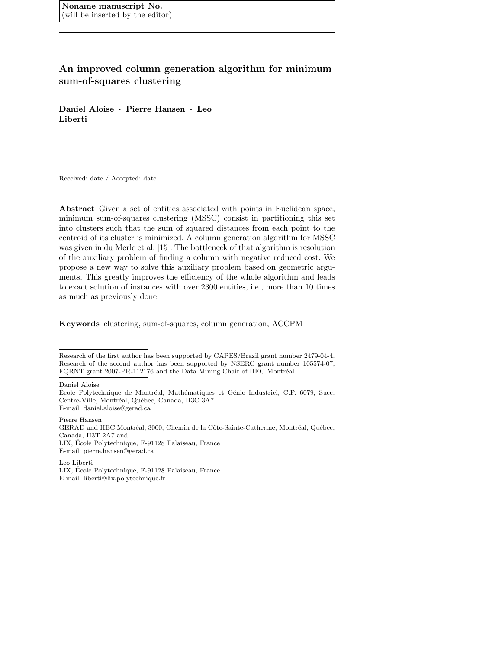# An improved column generation algorithm for minimum sum-of-squares clustering

Daniel Aloise · Pierre Hansen · Leo Liberti

Received: date / Accepted: date

Abstract Given a set of entities associated with points in Euclidean space, minimum sum-of-squares clustering (MSSC) consist in partitioning this set into clusters such that the sum of squared distances from each point to the centroid of its cluster is minimized. A column generation algorithm for MSSC was given in du Merle et al. [15]. The bottleneck of that algorithm is resolution of the auxiliary problem of finding a column with negative reduced cost. We propose a new way to solve this auxiliary problem based on geometric arguments. This greatly improves the efficiency of the whole algorithm and leads to exact solution of instances with over 2300 entities, i.e., more than 10 times as much as previously done.

Keywords clustering, sum-of-squares, column generation, ACCPM

Research of the first author has been supported by CAPES/Brazil grant number 2479-04-4. Research of the second author has been supported by NSERC grant number 105574-07, FQRNT grant 2007-PR-112176 and the Data Mining Chair of HEC Montréal.

Daniel Aloise

Pierre Hansen GERAD and HEC Montréal, 3000, Chemin de la Côte-Sainte-Catherine, Montréal, Québec, Canada, H3T 2A7 and LIX, Ecole Polytechnique, F-91128 Palaiseau, France ´ E-mail: pierre.hansen@gerad.ca

Leo Liberti LIX, Ecole Polytechnique, F-91128 Palaiseau, France ´ E-mail: liberti@lix.polytechnique.fr

École Polytechnique de Montréal, Mathématiques et Génie Industriel, C.P. 6079, Succ. Centre-Ville, Montréal, Québec, Canada, H3C 3A7 E-mail: daniel.aloise@gerad.ca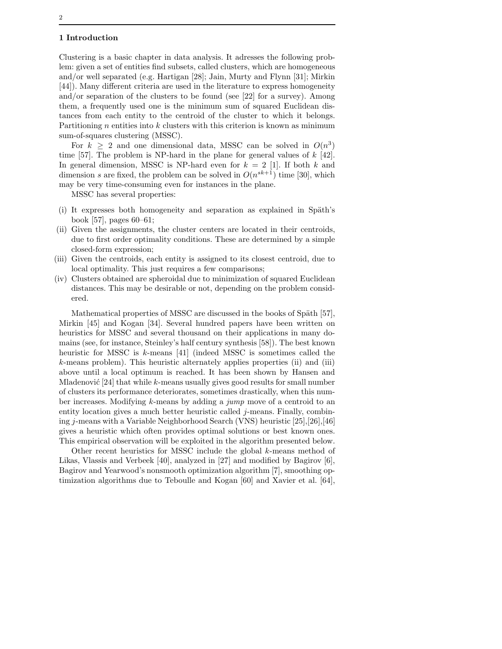## 1 Introduction

Clustering is a basic chapter in data analysis. It adresses the following problem: given a set of entities find subsets, called clusters, which are homogeneous and/or well separated (e.g. Hartigan [28]; Jain, Murty and Flynn [31]; Mirkin [44]). Many different criteria are used in the literature to express homogeneity and/or separation of the clusters to be found (see [22] for a survey). Among them, a frequently used one is the minimum sum of squared Euclidean distances from each entity to the centroid of the cluster to which it belongs. Partitioning  $n$  entities into  $k$  clusters with this criterion is known as minimum sum-of-squares clustering (MSSC).

For  $k \geq 2$  and one dimensional data, MSSC can be solved in  $O(n^3)$ time [57]. The problem is NP-hard in the plane for general values of  $k$  [42]. In general dimension, MSSC is NP-hard even for  $k = 2$  [1]. If both k and dimension s are fixed, the problem can be solved in  $O(n^{sk+1})$  time [30], which may be very time-consuming even for instances in the plane.

MSSC has several properties:

- $(i)$  It expresses both homogeneity and separation as explained in Späth's book [57], pages 60–61;
- (ii) Given the assignments, the cluster centers are located in their centroids, due to first order optimality conditions. These are determined by a simple closed-form expression;
- (iii) Given the centroids, each entity is assigned to its closest centroid, due to local optimality. This just requires a few comparisons;
- (iv) Clusters obtained are spheroidal due to minimization of squared Euclidean distances. This may be desirable or not, depending on the problem considered.

Mathematical properties of MSSC are discussed in the books of Späth  $[57]$ , Mirkin [45] and Kogan [34]. Several hundred papers have been written on heuristics for MSSC and several thousand on their applications in many domains (see, for instance, Steinley's half century synthesis [58]). The best known heuristic for MSSC is k-means [41] (indeed MSSC is sometimes called the k-means problem). This heuristic alternately applies properties (ii) and (iii) above until a local optimum is reached. It has been shown by Hansen and Mladenović  $[24]$  that while k-means usually gives good results for small number of clusters its performance deteriorates, sometimes drastically, when this number increases. Modifying k-means by adding a jump move of a centroid to an entity location gives a much better heuristic called  $j$ -means. Finally, combining j-means with a Variable Neighborhood Search (VNS) heuristic [25],[26],[46] gives a heuristic which often provides optimal solutions or best known ones. This empirical observation will be exploited in the algorithm presented below.

Other recent heuristics for MSSC include the global k-means method of Likas, Vlassis and Verbeek [40], analyzed in [27] and modified by Bagirov [6], Bagirov and Yearwood's nonsmooth optimization algorithm [7], smoothing optimization algorithms due to Teboulle and Kogan [60] and Xavier et al. [64],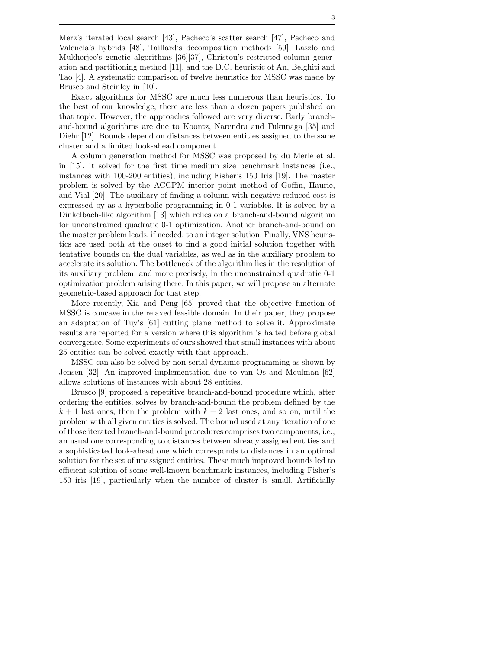Merz's iterated local search [43], Pacheco's scatter search [47], Pacheco and Valencia's hybrids [48], Taillard's decomposition methods [59], Laszlo and Mukherjee's genetic algorithms [36][37], Christou's restricted column generation and partitioning method [11], and the D.C. heuristic of An, Belghiti and Tao [4]. A systematic comparison of twelve heuristics for MSSC was made by Brusco and Steinley in [10].

Exact algorithms for MSSC are much less numerous than heuristics. To the best of our knowledge, there are less than a dozen papers published on that topic. However, the approaches followed are very diverse. Early branchand-bound algorithms are due to Koontz, Narendra and Fukunaga [35] and Diehr [12]. Bounds depend on distances between entities assigned to the same cluster and a limited look-ahead component.

A column generation method for MSSC was proposed by du Merle et al. in [15]. It solved for the first time medium size benchmark instances (i.e., instances with 100-200 entities), including Fisher's 150 Iris [19]. The master problem is solved by the ACCPM interior point method of Goffin, Haurie, and Vial [20]. The auxiliary of finding a column with negative reduced cost is expressed by as a hyperbolic programming in 0-1 variables. It is solved by a Dinkelbach-like algorithm [13] which relies on a branch-and-bound algorithm for unconstrained quadratic 0-1 optimization. Another branch-and-bound on the master problem leads, if needed, to an integer solution. Finally, VNS heuristics are used both at the ouset to find a good initial solution together with tentative bounds on the dual variables, as well as in the auxiliary problem to accelerate its solution. The bottleneck of the algorithm lies in the resolution of its auxiliary problem, and more precisely, in the unconstrained quadratic 0-1 optimization problem arising there. In this paper, we will propose an alternate geometric-based approach for that step.

More recently, Xia and Peng [65] proved that the objective function of MSSC is concave in the relaxed feasible domain. In their paper, they propose an adaptation of Tuy's [61] cutting plane method to solve it. Approximate results are reported for a version where this algorithm is halted before global convergence. Some experiments of ours showed that small instances with about 25 entities can be solved exactly with that approach.

MSSC can also be solved by non-serial dynamic programming as shown by Jensen [32]. An improved implementation due to van Os and Meulman [62] allows solutions of instances with about 28 entities.

Brusco [9] proposed a repetitive branch-and-bound procedure which, after ordering the entities, solves by branch-and-bound the problem defined by the  $k + 1$  last ones, then the problem with  $k + 2$  last ones, and so on, until the problem with all given entities is solved. The bound used at any iteration of one of those iterated branch-and-bound procedures comprises two components, i.e., an usual one corresponding to distances between already assigned entities and a sophisticated look-ahead one which corresponds to distances in an optimal solution for the set of unassigned entities. These much improved bounds led to efficient solution of some well-known benchmark instances, including Fisher's 150 iris [19], particularly when the number of cluster is small. Artificially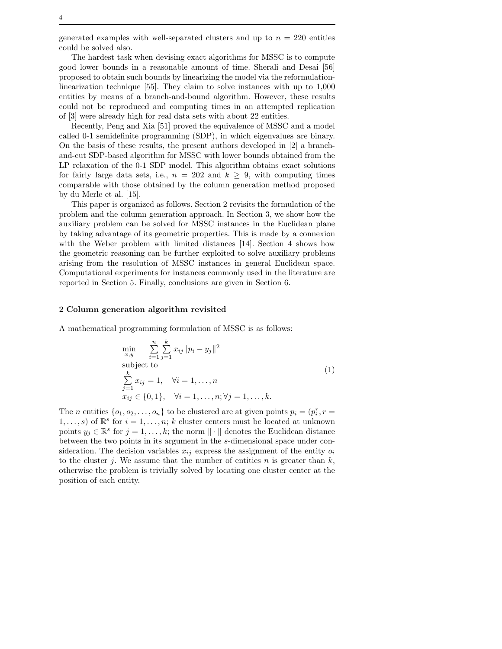The hardest task when devising exact algorithms for MSSC is to compute good lower bounds in a reasonable amount of time. Sherali and Desai [56] proposed to obtain such bounds by linearizing the model via the reformulationlinearization technique [55]. They claim to solve instances with up to 1,000 entities by means of a branch-and-bound algorithm. However, these results could not be reproduced and computing times in an attempted replication of [3] were already high for real data sets with about 22 entities.

Recently, Peng and Xia [51] proved the equivalence of MSSC and a model called 0-1 semidefinite programming (SDP), in which eigenvalues are binary. On the basis of these results, the present authors developed in [2] a branchand-cut SDP-based algorithm for MSSC with lower bounds obtained from the LP relaxation of the 0-1 SDP model. This algorithm obtains exact solutions for fairly large data sets, i.e.,  $n = 202$  and  $k > 9$ , with computing times comparable with those obtained by the column generation method proposed by du Merle et al. [15].

This paper is organized as follows. Section 2 revisits the formulation of the problem and the column generation approach. In Section 3, we show how the auxiliary problem can be solved for MSSC instances in the Euclidean plane by taking advantage of its geometric properties. This is made by a connexion with the Weber problem with limited distances [14]. Section 4 shows how the geometric reasoning can be further exploited to solve auxiliary problems arising from the resolution of MSSC instances in general Euclidean space. Computational experiments for instances commonly used in the literature are reported in Section 5. Finally, conclusions are given in Section 6.

## 2 Column generation algorithm revisited

4

A mathematical programming formulation of MSSC is as follows:

$$
\min_{x,y} \sum_{i=1}^{n} \sum_{j=1}^{k} x_{ij} ||p_i - y_j||^2
$$
\nsubject to\n
$$
\sum_{j=1}^{k} x_{ij} = 1, \quad \forall i = 1, ..., n
$$
\n
$$
x_{ij} \in \{0, 1\}, \quad \forall i = 1, ..., n; \forall j = 1, ..., k.
$$
\n(1)

The *n* entities  $\{o_1, o_2, \ldots, o_n\}$  to be clustered are at given points  $p_i = (p_i^r, r =$  $1, \ldots, s$  of  $\mathbb{R}^s$  for  $i = 1, \ldots, n$ ; k cluster centers must be located at unknown points  $y_j \in \mathbb{R}^s$  for  $j = 1, ..., k$ ; the norm  $\|\cdot\|$  denotes the Euclidean distance between the two points in its argument in the s-dimensional space under consideration. The decision variables  $x_{ij}$  express the assignment of the entity  $o_i$ to the cluster j. We assume that the number of entities n is greater than  $k$ , otherwise the problem is trivially solved by locating one cluster center at the position of each entity.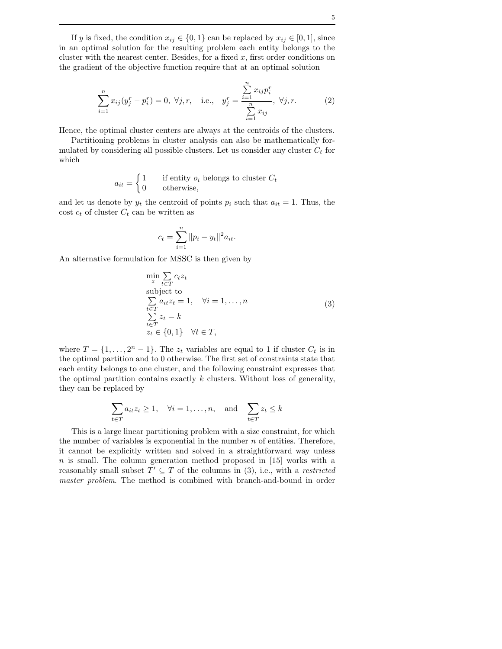If y is fixed, the condition  $x_{ij} \in \{0,1\}$  can be replaced by  $x_{ij} \in [0,1]$ , since in an optimal solution for the resulting problem each entity belongs to the cluster with the nearest center. Besides, for a fixed  $x$ , first order conditions on the gradient of the objective function require that at an optimal solution

$$
\sum_{i=1}^{n} x_{ij} (y_j^r - p_i^r) = 0, \ \forall j, r, \quad \text{i.e.,} \quad y_j^r = \frac{\sum_{i=1}^{n} x_{ij} p_i^r}{\sum_{i=1}^{n} x_{ij}}, \ \forall j, r. \tag{2}
$$

Hence, the optimal cluster centers are always at the centroids of the clusters.

Partitioning problems in cluster analysis can also be mathematically formulated by considering all possible clusters. Let us consider any cluster  $C_t$  for which

$$
a_{it} = \begin{cases} 1 & \text{if entity } o_i \text{ belongs to cluster } C_t \\ 0 & \text{otherwise,} \end{cases}
$$

and let us denote by  $y_t$  the centroid of points  $p_i$  such that  $a_{it} = 1$ . Thus, the cost  $c_t$  of cluster  $C_t$  can be written as

$$
c_t = \sum_{i=1}^n \|p_i - y_t\|^2 a_{it}.
$$

An alternative formulation for MSSC is then given by

$$
\min_{z} \sum_{t \in T} c_t z_t
$$
\nsubject to\n
$$
\sum_{t \in T} a_{it} z_t = 1, \quad \forall i = 1, ..., n
$$
\n
$$
\sum_{t \in T} z_t = k
$$
\n
$$
z_t \in \{0, 1\} \quad \forall t \in T,
$$
\n(3)

where  $T = \{1, \ldots, 2^n - 1\}$ . The  $z_t$  variables are equal to 1 if cluster  $C_t$  is in the optimal partition and to 0 otherwise. The first set of constraints state that each entity belongs to one cluster, and the following constraint expresses that the optimal partition contains exactly  $k$  clusters. Without loss of generality, they can be replaced by

$$
\sum_{t \in T} a_{it} z_t \ge 1, \quad \forall i = 1, \dots, n, \quad \text{and} \quad \sum_{t \in T} z_t \le k
$$

This is a large linear partitioning problem with a size constraint, for which the number of variables is exponential in the number  $n$  of entities. Therefore, it cannot be explicitly written and solved in a straightforward way unless  $n$  is small. The column generation method proposed in [15] works with a reasonably small subset  $T' \subseteq T$  of the columns in (3), i.e., with a *restricted* master problem. The method is combined with branch-and-bound in order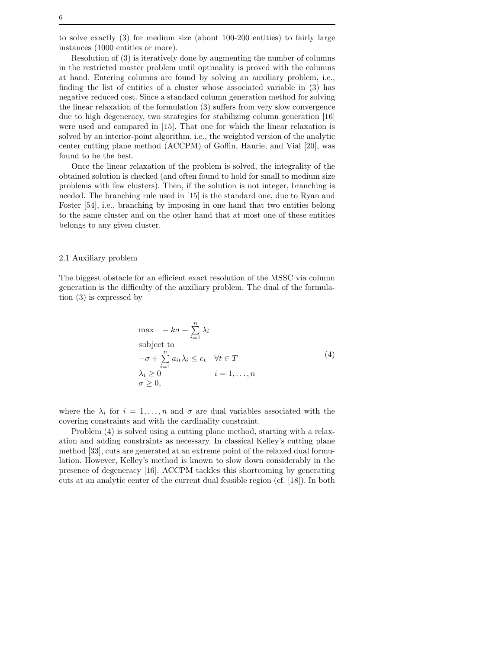to solve exactly (3) for medium size (about 100-200 entities) to fairly large instances (1000 entities or more).

Resolution of (3) is iteratively done by augmenting the number of columns in the restricted master problem until optimality is proved with the columns at hand. Entering columns are found by solving an auxiliary problem, i.e., finding the list of entities of a cluster whose associated variable in (3) has negative reduced cost. Since a standard column generation method for solving the linear relaxation of the formulation (3) suffers from very slow convergence due to high degeneracy, two strategies for stabilizing column generation [16] were used and compared in [15]. That one for which the linear relaxation is solved by an interior-point algorithm, i.e., the weighted version of the analytic center cutting plane method (ACCPM) of Goffin, Haurie, and Vial [20], was found to be the best.

Once the linear relaxation of the problem is solved, the integrality of the obtained solution is checked (and often found to hold for small to medium size problems with few clusters). Then, if the solution is not integer, branching is needed. The branching rule used in [15] is the standard one, due to Ryan and Foster [54], i.e., branching by imposing in one hand that two entities belong to the same cluster and on the other hand that at most one of these entities belongs to any given cluster.

## 2.1 Auxiliary problem

The biggest obstacle for an efficient exact resolution of the MSSC via column generation is the difficulty of the auxiliary problem. The dual of the formulation (3) is expressed by

$$
\max - k\sigma + \sum_{i=1}^{n} \lambda_i
$$
\nsubject to\n
$$
-\sigma + \sum_{i=1}^{n} a_{it}\lambda_i \le c_t \quad \forall t \in T
$$
\n
$$
\lambda_i \ge 0 \qquad i = 1, ..., n
$$
\n
$$
\sigma \ge 0,
$$
\n(4)

where the  $\lambda_i$  for  $i = 1, \ldots, n$  and  $\sigma$  are dual variables associated with the covering constraints and with the cardinality constraint.

Problem (4) is solved using a cutting plane method, starting with a relaxation and adding constraints as necessary. In classical Kelley's cutting plane method [33], cuts are generated at an extreme point of the relaxed dual formulation. However, Kelley's method is known to slow down considerably in the presence of degeneracy [16]. ACCPM tackles this shortcoming by generating cuts at an analytic center of the current dual feasible region (cf. [18]). In both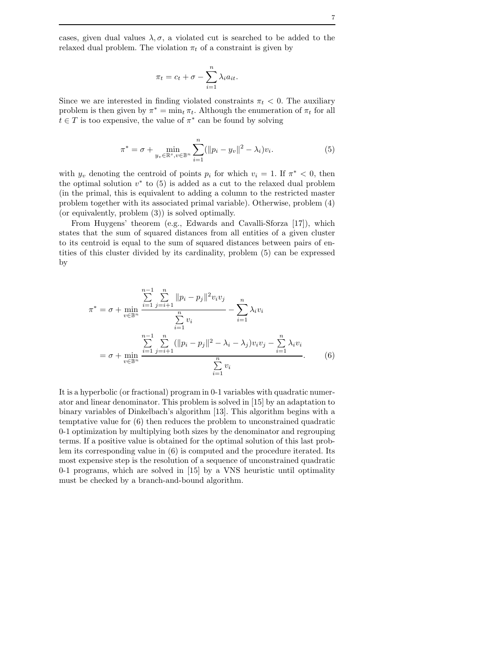cases, given dual values  $\lambda, \sigma$ , a violated cut is searched to be added to the relaxed dual problem. The violation  $\pi_t$  of a constraint is given by

$$
\pi_t = c_t + \sigma - \sum_{i=1}^n \lambda_i a_{it}.
$$

Since we are interested in finding violated constraints  $\pi_t < 0$ . The auxiliary problem is then given by  $\pi^* = \min_t \pi_t$ . Although the enumeration of  $\pi_t$  for all  $t \in T$  is too expensive, the value of  $\pi^*$  can be found by solving

$$
\pi^* = \sigma + \min_{y_v \in \mathbb{R}^s, v \in \mathbb{R}^n} \sum_{i=1}^n (||p_i - y_v||^2 - \lambda_i) v_i.
$$
 (5)

with  $y_v$  denoting the centroid of points  $p_i$  for which  $v_i = 1$ . If  $\pi^* < 0$ , then the optimal solution  $v^*$  to  $(5)$  is added as a cut to the relaxed dual problem (in the primal, this is equivalent to adding a column to the restricted master problem together with its associated primal variable). Otherwise, problem (4) (or equivalently, problem (3)) is solved optimally.

From Huygens' theorem (e.g., Edwards and Cavalli-Sforza [17]), which states that the sum of squared distances from all entities of a given cluster to its centroid is equal to the sum of squared distances between pairs of entities of this cluster divided by its cardinality, problem (5) can be expressed by

$$
\pi^* = \sigma + \min_{v \in \mathbb{B}^n} \frac{\sum_{i=1}^{n} \sum_{j=i+1}^n ||p_i - p_j||^2 v_i v_j}{\sum_{i=1}^n v_i} - \sum_{i=1}^n \lambda_i v_i
$$

$$
= \sigma + \min_{v \in \mathbb{B}^n} \frac{\sum_{i=1}^{n-1} \sum_{j=i+1}^n (||p_i - p_j||^2 - \lambda_i - \lambda_j) v_i v_j - \sum_{i=1}^n \lambda_i v_i}{\sum_{i=1}^n v_i}.
$$
(6)

It is a hyperbolic (or fractional) program in 0-1 variables with quadratic numerator and linear denominator. This problem is solved in [15] by an adaptation to binary variables of Dinkelbach's algorithm [13]. This algorithm begins with a temptative value for (6) then reduces the problem to unconstrained quadratic 0-1 optimization by multiplying both sizes by the denominator and regrouping terms. If a positive value is obtained for the optimal solution of this last problem its corresponding value in (6) is computed and the procedure iterated. Its most expensive step is the resolution of a sequence of unconstrained quadratic 0-1 programs, which are solved in [15] by a VNS heuristic until optimality must be checked by a branch-and-bound algorithm.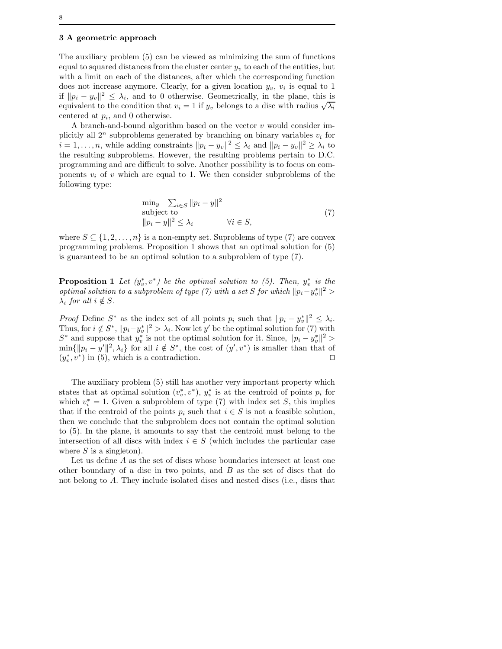#### 3 A geometric approach

The auxiliary problem (5) can be viewed as minimizing the sum of functions equal to squared distances from the cluster center  $y_v$  to each of the entities, but with a limit on each of the distances, after which the corresponding function does not increase anymore. Clearly, for a given location  $y_v$ ,  $v_i$  is equal to 1 if  $||p_i - y_v||^2$  ≤  $\lambda_i$ , and to 0 otherwise. Geometrically, in the plane, this is equivalent to the condition that  $v_i = 1$  if  $y_v$  belongs to a disc with radius  $\sqrt{\lambda_i}$ centered at  $p_i$ , and 0 otherwise.

A branch-and-bound algorithm based on the vector  $v$  would consider implicitly all  $2^n$  subproblems generated by branching on binary variables  $v_i$  for  $i = 1, \ldots, n$ , while adding constraints  $||p_i - y_v||^2 \leq \lambda_i$  and  $||p_i - y_v||^2 \geq \lambda_i$  to the resulting subproblems. However, the resulting problems pertain to D.C. programming and are difficult to solve. Another possibility is to focus on components  $v_i$  of v which are equal to 1. We then consider subproblems of the following type:

$$
\min_{y} \sum_{i \in S} \|p_i - y\|^2
$$
  
subject to  

$$
||p_i - y||^2 \le \lambda_i \qquad \forall i \in S,
$$
 (7)

where  $S \subseteq \{1, 2, \ldots, n\}$  is a non-empty set. Suproblems of type (7) are convex programming problems. Proposition 1 shows that an optimal solution for (5) is guaranteed to be an optimal solution to a subproblem of type (7).

**Proposition 1** Let  $(y_v^*, v^*)$  be the optimal solution to (5). Then,  $y_v^*$  is the *optimal solution to a subproblem of type (7) with a set S for which*  $||p_i - y_v^*||^2$  >  $\lambda_i$  for all  $i \notin S$ .

*Proof* Define  $S^*$  as the index set of all points  $p_i$  such that  $||p_i - y^*_{v}||^2 \leq \lambda_i$ . Thus, for  $i \notin S^*$ ,  $||p_i - y_v^*||^2 > \lambda_i$ . Now let y' be the optimal solution for (7) with  $S^*$  and suppose that  $y_v^*$  is not the optimal solution for it. Since,  $||p_i - y_v^*||^2 >$  $\min\{\Vert p_i - y'\Vert^2, \lambda_i\}$  for all  $i \notin S^*$ , the cost of  $(y', v^*)$  is smaller than that of  $(y_v^*, v^*)$  in (5), which is a contradiction. □

The auxiliary problem (5) still has another very important property which states that at optimal solution  $(v_v^*, v^*)$ ,  $y_v^*$  is at the centroid of points  $p_i$  for which  $v_i^* = 1$ . Given a subproblem of type (7) with index set S, this implies that if the centroid of the points  $p_i$  such that  $i \in S$  is not a feasible solution, then we conclude that the subproblem does not contain the optimal solution to (5). In the plane, it amounts to say that the centroid must belong to the intersection of all discs with index  $i \in S$  (which includes the particular case where  $S$  is a singleton).

Let us define A as the set of discs whose boundaries intersect at least one other boundary of a disc in two points, and  $B$  as the set of discs that do not belong to A. They include isolated discs and nested discs (i.e., discs that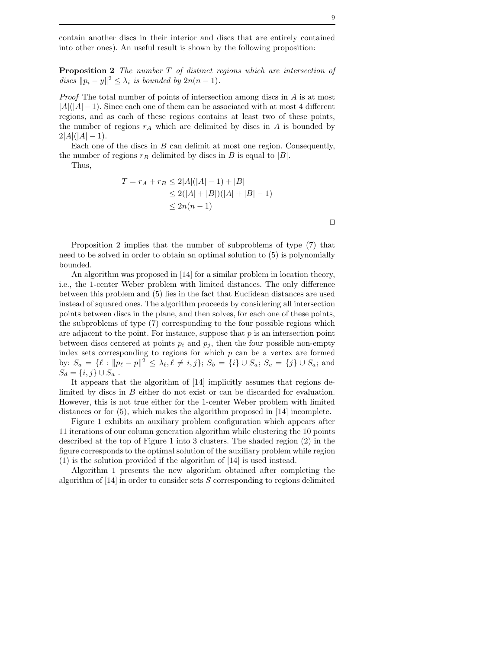contain another discs in their interior and discs that are entirely contained into other ones). An useful result is shown by the following proposition:

Proposition 2 The number T of distinct regions which are intersection of discs  $||p_i - y||^2 \leq \lambda_i$  is bounded by  $2n(n - 1)$ .

Proof The total number of points of intersection among discs in A is at most  $|A|(|A|-1)$ . Since each one of them can be associated with at most 4 different regions, and as each of these regions contains at least two of these points, the number of regions  $r_A$  which are delimited by discs in A is bounded by  $2|A|(|A|-1)$ .

Each one of the discs in  $B$  can delimit at most one region. Consequently, the number of regions  $r_B$  delimited by discs in B is equal to |B|.

Thus,

$$
T = r_A + r_B \le 2|A|(|A| - 1) + |B|
$$
  
\n
$$
\le 2(|A| + |B|)(|A| + |B| - 1)
$$
  
\n
$$
\le 2n(n - 1)
$$

Proposition 2 implies that the number of subproblems of type (7) that need to be solved in order to obtain an optimal solution to (5) is polynomially bounded.

An algorithm was proposed in [14] for a similar problem in location theory, i.e., the 1-center Weber problem with limited distances. The only difference between this problem and (5) lies in the fact that Euclidean distances are used instead of squared ones. The algorithm proceeds by considering all intersection points between discs in the plane, and then solves, for each one of these points, the subproblems of type (7) corresponding to the four possible regions which are adjacent to the point. For instance, suppose that  $p$  is an intersection point between discs centered at points  $p_i$  and  $p_j$ , then the four possible non-empty index sets corresponding to regions for which  $p$  can be a vertex are formed by:  $S_a = \{ \ell : ||p_\ell - p||^2 \leq \lambda_\ell, \ell \neq i, j \}; S_b = \{ i \} \cup S_a; S_c = \{ j \} \cup S_a;$  and  $S_d = \{i, j\} \cup S_a$ .

It appears that the algorithm of [14] implicitly assumes that regions delimited by discs in B either do not exist or can be discarded for evaluation. However, this is not true either for the 1-center Weber problem with limited distances or for (5), which makes the algorithm proposed in [14] incomplete.

Figure 1 exhibits an auxiliary problem configuration which appears after 11 iterations of our column generation algorithm while clustering the 10 points described at the top of Figure 1 into 3 clusters. The shaded region (2) in the figure corresponds to the optimal solution of the auxiliary problem while region (1) is the solution provided if the algorithm of [14] is used instead.

Algorithm 1 presents the new algorithm obtained after completing the algorithm of  $[14]$  in order to consider sets S corresponding to regions delimited

⊓⊔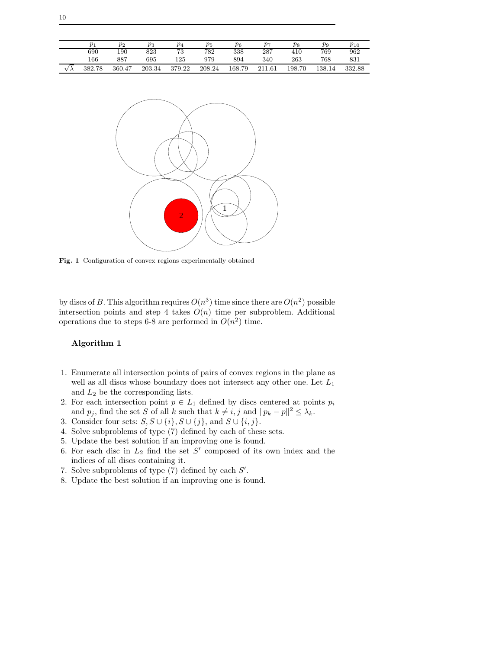|    | $p_{1}$      | $p_2$  | $_{p_3}$ | $\overline{p_4}$ | $p_5$  | $p_6$  | $_{p_7}$                  | $p_8$       | $p_9$ | $p_{10}$ |
|----|--------------|--------|----------|------------------|--------|--------|---------------------------|-------------|-------|----------|
|    | 690          | 190    | 823      | 73               | 782    | 338    | 287                       | 410         | 769   | 962      |
|    | 166          | 887    | 695      | 125              | 979    | 894    | 340                       | 263         | 768   | 831      |
| vλ | .78<br>382.7 | 360.47 | 203.34   | 379.22           | 208.24 | 168.79 | $^{\circ}$ 1<br>$_{1.61}$ | 198.<br>.70 | 138.1 | 332.88   |



Fig. 1 Configuration of convex regions experimentally obtained

by discs of B. This algorithm requires  $O(n^3)$  time since there are  $O(n^2)$  possible intersection points and step 4 takes  $O(n)$  time per subproblem. Additional operations due to steps 6-8 are performed in  $O(n^2)$  time.

# Algorithm 1

- 1. Enumerate all intersection points of pairs of convex regions in the plane as well as all discs whose boundary does not intersect any other one. Let  $L_1$ and  $L_2$  be the corresponding lists.
- 2. For each intersection point  $p \in L_1$  defined by discs centered at points  $p_i$ and  $p_j$ , find the set S of all k such that  $k \neq i, j$  and  $||p_k - p||^2 \leq \lambda_k$ .
- 3. Consider four sets:  $S, S \cup \{i\}, S \cup \{j\}$ , and  $S \cup \{i, j\}$ .
- 4. Solve subproblems of type (7) defined by each of these sets.
- 5. Update the best solution if an improving one is found.
- 6. For each disc in  $L_2$  find the set  $S'$  composed of its own index and the indices of all discs containing it.
- 7. Solve subproblems of type  $(7)$  defined by each  $S'$ .
- 8. Update the best solution if an improving one is found.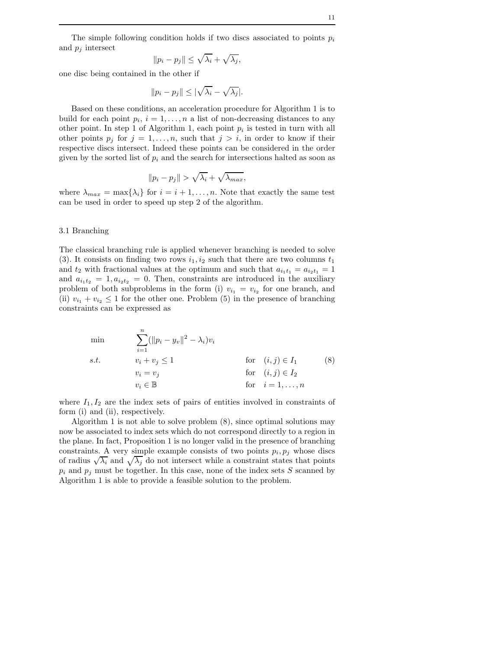The simple following condition holds if two discs associated to points  $p_i$ and  $p_j$  intersect

$$
||p_i - p_j|| \le \sqrt{\lambda_i} + \sqrt{\lambda_j},
$$

one disc being contained in the other if

$$
||p_i - p_j|| \le |\sqrt{\lambda_i} - \sqrt{\lambda_j}|.
$$

Based on these conditions, an acceleration procedure for Algorithm 1 is to build for each point  $p_i$ ,  $i = 1, ..., n$  a list of non-decreasing distances to any other point. In step 1 of Algorithm 1, each point  $p_i$  is tested in turn with all other points  $p_j$  for  $j = 1, \ldots, n$ , such that  $j > i$ , in order to know if their respective discs intersect. Indeed these points can be considered in the order given by the sorted list of  $p_i$  and the search for intersections halted as soon as

$$
||p_i - p_j|| > \sqrt{\lambda_i} + \sqrt{\lambda_{max}},
$$

where  $\lambda_{max} = \max\{\lambda_i\}$  for  $i = i + 1, \ldots, n$ . Note that exactly the same test can be used in order to speed up step 2 of the algorithm.

#### 3.1 Branching

The classical branching rule is applied whenever branching is needed to solve (3). It consists on finding two rows  $i_1, i_2$  such that there are two columns  $t_1$ and  $t_2$  with fractional values at the optimum and such that  $a_{i_1t_1} = a_{i_2t_1} = 1$ and  $a_{i_1 i_2} = 1, a_{i_2 i_2} = 0$ . Then, constraints are introduced in the auxiliary problem of both subproblems in the form (i)  $v_{i_1} = v_{i_2}$  for one branch, and (ii)  $v_{i_1} + v_{i_2} \leq 1$  for the other one. Problem (5) in the presence of branching constraints can be expressed as

min  
\n
$$
\sum_{i=1}^{n} (||p_i - y_v||^2 - \lambda_i)v_i
$$
\ns.t. 
$$
v_i + v_j \le 1
$$
 for  $(i, j) \in I_1$  (8)  
\n
$$
v_i = v_j
$$
 for  $(i, j) \in I_2$   
\n
$$
v_i \in \mathbb{B}
$$
 for  $i = 1, ..., n$ 

where  $I_1, I_2$  are the index sets of pairs of entities involved in constraints of form (i) and (ii), respectively.

Algorithm 1 is not able to solve problem (8), since optimal solutions may now be associated to index sets which do not correspond directly to a region in the plane. In fact, Proposition 1 is no longer valid in the presence of branching constraints. A very simple example consists of two points  $p_i, p_j$  whose discs of radius  $\sqrt{\lambda_i}$  and  $\sqrt{\lambda_j}$  do not intersect while a constraint states that points  $p_i$  and  $p_j$  must be together. In this case, none of the index sets S scanned by Algorithm 1 is able to provide a feasible solution to the problem.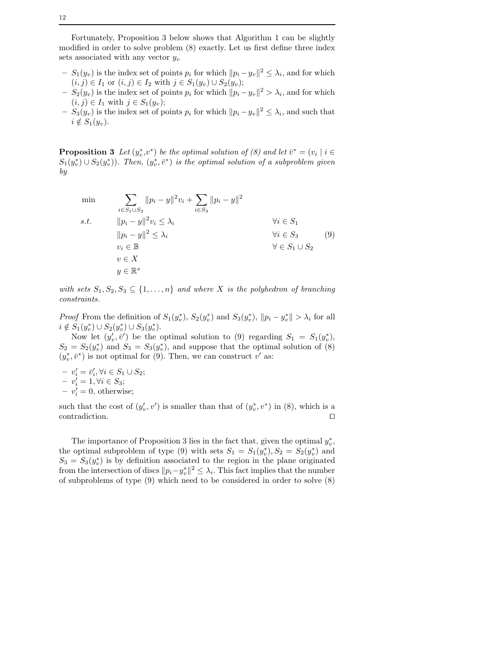Fortunately, Proposition 3 below shows that Algorithm 1 can be slightly modified in order to solve problem (8) exactly. Let us first define three index sets associated with any vector  $y_v$ 

- $S_1(y_v)$  is the index set of points  $p_i$  for which  $||p_i y_v||^2 \leq \lambda_i$ , and for which  $(i, j) \in I_1$  or  $(i, j) \in I_2$  with  $j \in S_1(y_v) \cup S_2(y_v)$ ;
- $S_2(y_v)$  is the index set of points  $p_i$  for which  $||p_i y_v||^2 > \lambda_i$ , and for which  $(i, j) \in I_1$  with  $j \in S_1(y_v)$ ;
- $S_3(y_v)$  is the index set of points  $p_i$  for which  $||p_i y_v||^2 \leq \lambda_i$ , and such that  $i \notin S_1(y_v)$ .

**Proposition 3** Let  $(y_v^*, v^*)$  be the optimal solution of (8) and let  $\bar{v}^* = (v_i \mid i \in$  $S_1(y_v^*) \cup S_2(y_v^*)$ . Then,  $(y_v^*, \bar{v}^*)$  is the optimal solution of a subproblem given by

$$
\min \qquad \sum_{i \in S_1 \cup S_2} ||p_i - y||^2 v_i + \sum_{i \in S_3} ||p_i - y||^2
$$
\n
$$
s.t. \qquad ||p_i - y||^2 v_i \le \lambda_i \qquad \qquad \forall i \in S_1
$$
\n
$$
||p_i - y||^2 \le \lambda_i \qquad \qquad \forall i \in S_3
$$
\n
$$
v_i \in \mathbb{B} \qquad \qquad \forall i \in S_3
$$
\n
$$
v \in X
$$
\n
$$
y \in \mathbb{R}^s \qquad \qquad \emptyset
$$

with sets  $S_1, S_2, S_3 \subseteq \{1, \ldots, n\}$  and where X is the polyhedron of branching constraints.

*Proof* From the definition of  $S_1(y_v^*), S_2(y_v^*)$  and  $S_3(y_v^*), ||p_i - y_v^*|| > \lambda_i$  for all  $i \notin S_1(y_v^*) \cup S_2(y_v^*) \cup S_3(y_v^*)$ .

Now let  $(y'_v, \bar{v}')$  be the optimal solution to (9) regarding  $S_1 = S_1(y_v^*),$  $S_2 = S_2(y_v^*)$  and  $S_3 = S_3(y_v^*)$ , and suppose that the optimal solution of (8)  $(y_v^*, \bar{v}^*)$  is not optimal for (9). Then, we can construct  $v'$  as:

 $-v'_i = \bar{v}'_i, \forall i \in S_1 \cup S_2;$  $-v'_i = 1, \forall i \in S_3;$  $-v'_i = 0$ , otherwise;

such that the cost of  $(y'_v, v')$  is smaller than that of  $(y_v^*, v^*)$  in  $(8)$ , which is a contradiction. ⊓⊔

The importance of Proposition 3 lies in the fact that, given the optimal  $y_v^*$ , the optimal subproblem of type (9) with sets  $S_1 = S_1(y_v^*), S_2 = S_2(y_v^*)$  and  $S_3 = S_3(y_v^*)$  is by definition associated to the region in the plane originated from the intersection of discs  $||p_i - y_v^*||^2 \leq \lambda_i$ . This fact implies that the number of subproblems of type (9) which need to be considered in order to solve (8)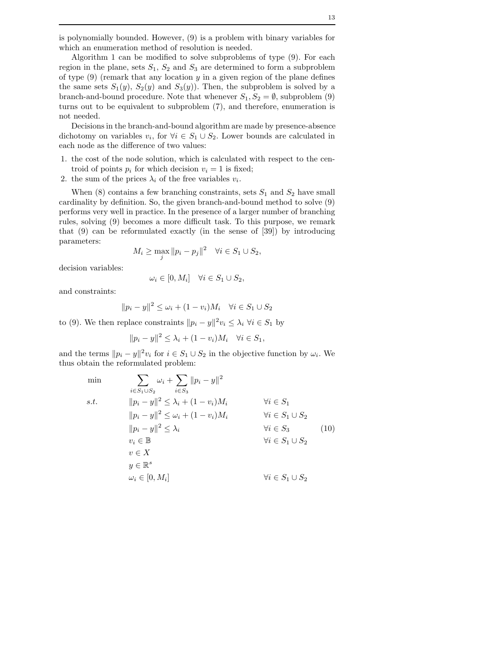Algorithm 1 can be modified to solve subproblems of type (9). For each region in the plane, sets  $S_1$ ,  $S_2$  and  $S_3$  are determined to form a subproblem of type  $(9)$  (remark that any location y in a given region of the plane defines the same sets  $S_1(y)$ ,  $S_2(y)$  and  $S_3(y)$ ). Then, the subproblem is solved by a branch-and-bound procedure. Note that whenever  $S_1, S_2 = \emptyset$ , subproblem (9) turns out to be equivalent to subproblem (7), and therefore, enumeration is not needed.

Decisions in the branch-and-bound algorithm are made by presence-absence dichotomy on variables  $v_i$ , for  $\forall i \in S_1 \cup S_2$ . Lower bounds are calculated in each node as the difference of two values:

- 1. the cost of the node solution, which is calculated with respect to the centroid of points  $p_i$  for which decision  $v_i = 1$  is fixed;
- 2. the sum of the prices  $\lambda_i$  of the free variables  $v_i$ .

When  $(8)$  contains a few branching constraints, sets  $S_1$  and  $S_2$  have small cardinality by definition. So, the given branch-and-bound method to solve (9) performs very well in practice. In the presence of a larger number of branching rules, solving (9) becomes a more difficult task. To this purpose, we remark that (9) can be reformulated exactly (in the sense of [39]) by introducing parameters:

$$
M_i \ge \max_j \|p_i - p_j\|^2 \quad \forall i \in S_1 \cup S_2,
$$

decision variables:

$$
\omega_i \in [0, M_i] \quad \forall i \in S_1 \cup S_2,
$$

and constraints:

$$
||p_i - y||^2 \le \omega_i + (1 - v_i)M_i \quad \forall i \in S_1 \cup S_2
$$

to (9). We then replace constraints  $||p_i - y||^2 v_i \leq \lambda_i \ \forall i \in S_1$  by

$$
||p_i - y||^2 \leq \lambda_i + (1 - v_i)M_i \quad \forall i \in S_1,
$$

and the terms  $||p_i - y||^2 v_i$  for  $i \in S_1 \cup S_2$  in the objective function by  $\omega_i$ . We thus obtain the reformulated problem:

$$
\begin{aligned}\n\min \qquad & \sum_{i \in S_1 \cup S_2} \omega_i + \sum_{i \in S_3} \|p_i - y\|^2 \\
\text{s.t.} & \qquad \|p_i - y\|^2 \le \lambda_i + (1 - v_i)M_i \qquad \qquad \forall i \in S_1 \\
& \|p_i - y\|^2 \le \omega_i + (1 - v_i)M_i \qquad \qquad \forall i \in S_1 \cup S_2 \\
& \|p_i - y\|^2 \le \lambda_i \qquad \qquad \forall i \in S_3 \qquad (10) \\
& v_i \in \mathbb{B} \qquad \qquad \forall i \in S_1 \cup S_2 \\
& v \in X \\
& y \in \mathbb{R}^s \qquad \qquad \omega_i \in [0, M_i] \qquad \qquad \forall i \in S_1 \cup S_2\n\end{aligned}
$$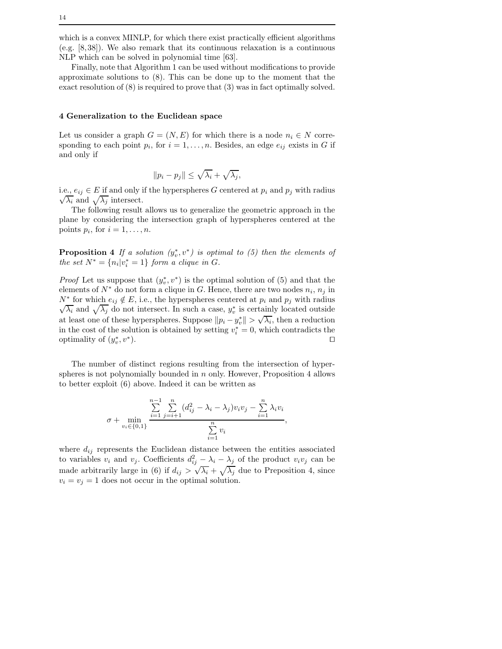which is a convex MINLP, for which there exist practically efficient algorithms (e.g. [8,38]). We also remark that its continuous relaxation is a continuous NLP which can be solved in polynomial time [63].

Finally, note that Algorithm 1 can be used without modifications to provide approximate solutions to (8). This can be done up to the moment that the exact resolution of (8) is required to prove that (3) was in fact optimally solved.

## 4 Generalization to the Euclidean space

Let us consider a graph  $G = (N, E)$  for which there is a node  $n_i \in N$  corresponding to each point  $p_i$ , for  $i = 1, \ldots, n$ . Besides, an edge  $e_{ij}$  exists in G if and only if

$$
||p_i - p_j|| \le \sqrt{\lambda_i} + \sqrt{\lambda_j},
$$

i.e.,  $e_{ij} \in E$  if and only if the hyperspheres G centered at  $p_i$  and  $p_j$  with radius  $\sqrt{\lambda_i}$  and  $\sqrt{\lambda_j}$  intersect.

The following result allows us to generalize the geometric approach in the plane by considering the intersection graph of hyperspheres centered at the points  $p_i$ , for  $i = 1, \ldots, n$ .

**Proposition 4** If a solution  $(y_v^*, v^*)$  is optimal to (5) then the elements of the set  $N^* = \{n_i | v_i^* = 1\}$  form a clique in G.

*Proof* Let us suppose that  $(y_v^*, v^*)$  is the optimal solution of (5) and that the elements of  $N^*$  do not form a clique in G. Hence, there are two nodes  $n_i$ ,  $n_j$  in  $N^*$  for which  $e_{ij} \notin E$ , i.e., the hyperspheres centered at  $p_i$  and  $p_j$  with radius  $\sqrt{\lambda_i}$  and  $\sqrt{\lambda_j}$  do not intersect. In such a case,  $y_v^*$  is certainly located outside at least one of these hyperspheres. Suppose  $||p_i - y_v^*|| > \sqrt{\lambda_i}$ , then a reduction in the cost of the solution is obtained by setting  $v_i^* = 0$ , which contradicts the optimality of  $(y_v^*, v^*)$ ). ⊓⊔

The number of distinct regions resulting from the intersection of hyperspheres is not polynomially bounded in  $n$  only. However, Proposition 4 allows to better exploit (6) above. Indeed it can be written as

$$
\sigma + \min_{v_i \in \{0,1\}} \frac{\sum_{i=1}^{n-1} \sum_{j=i+1}^n (d_{ij}^2 - \lambda_i - \lambda_j) v_i v_j - \sum_{i=1}^n \lambda_i v_i}{\sum_{i=1}^n v_i},
$$

where  $d_{ij}$  represents the Euclidean distance between the entities associated to variables  $v_i$  and  $v_j$ . Coefficients  $d_{ij}^2 - \lambda_i - \lambda_j$  of the product  $v_i v_j$  can be made arbitrarily large in (6) if  $d_{ij} > \sqrt{\lambda_i} + \sqrt{\lambda_j}$  due to Preposition 4, since  $v_i = v_j = 1$  does not occur in the optimal solution.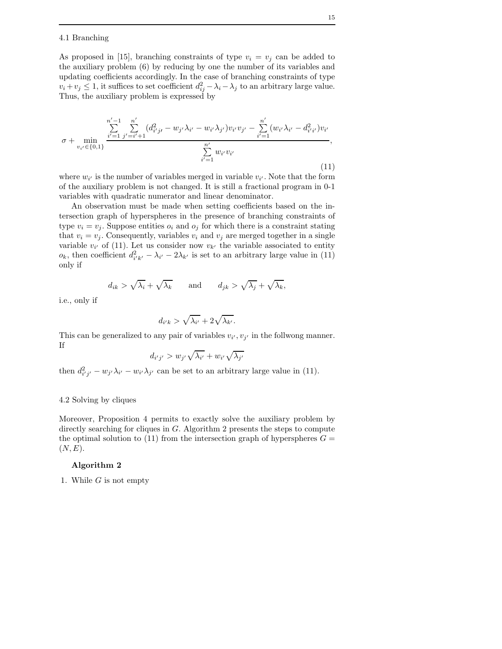#### 4.1 Branching

As proposed in [15], branching constraints of type  $v_i = v_j$  can be added to the auxiliary problem (6) by reducing by one the number of its variables and updating coefficients accordingly. In the case of branching constraints of type  $v_i + v_j \leq 1$ , it suffices to set coefficient  $d_{ij}^2 - \lambda_i - \lambda_j$  to an arbitrary large value. Thus, the auxiliary problem is expressed by

$$
\sigma + \min_{v_{i'} \in \{0,1\}} \frac{\sum_{i'=1}^{n'-1} \sum_{j'=i'+1}^{n'} (d_{i'j'}^2 - w_{j'}\lambda_{i'} - w_{i'}\lambda_{j'})v_{i'}v_{j'} - \sum_{i'=1}^{n'} (w_{i'}\lambda_{i'} - d_{i'i'}^2)v_{i'}}{\sum_{i'=1}^{n'} w_{i'}v_{i'}},
$$
\n(11)

where  $w_{i'}$  is the number of variables merged in variable  $v_{i'}$ . Note that the form of the auxiliary problem is not changed. It is still a fractional program in 0-1 variables with quadratic numerator and linear denominator.

An observation must be made when setting coefficients based on the intersection graph of hyperspheres in the presence of branching constraints of type  $v_i = v_j$ . Suppose entities  $o_i$  and  $o_j$  for which there is a constraint stating that  $v_i = v_j$ . Consequently, variables  $v_i$  and  $v_j$  are merged together in a single variable  $v_{i'}$  of (11). Let us consider now  $v_{k'}$  the variable associated to entity  $o_k$ , then coefficient  $d_{i'k'}^2 - \lambda_{i'} - 2\lambda_{k'}$  is set to an arbitrary large value in (11) only if

$$
d_{ik} > \sqrt{\lambda_i} + \sqrt{\lambda_k}
$$
 and  $d_{jk} > \sqrt{\lambda_j} + \sqrt{\lambda_k}$ ,

i.e., only if

$$
d_{i'k} > \sqrt{\lambda_{i'}} + 2\sqrt{\lambda_{k'}}.
$$

di

This can be generalized to any pair of variables  $v_{i'}, v_{j'}$  in the follwong manner. If

$$
d_{i'j'} > w_{j'}\sqrt{\lambda_{i'}} + w_{i'}\sqrt{\lambda_{j'}}
$$

then  $d_{i'j'}^2 - w_{j'}\lambda_{i'} - w_{i'}\lambda_{j'}$  can be set to an arbitrary large value in (11).

## 4.2 Solving by cliques

Moreover, Proposition 4 permits to exactly solve the auxiliary problem by directly searching for cliques in G. Algorithm 2 presents the steps to compute the optimal solution to (11) from the intersection graph of hyperspheres  $G =$  $(N, E).$ 

# Algorithm 2

1. While  $G$  is not empty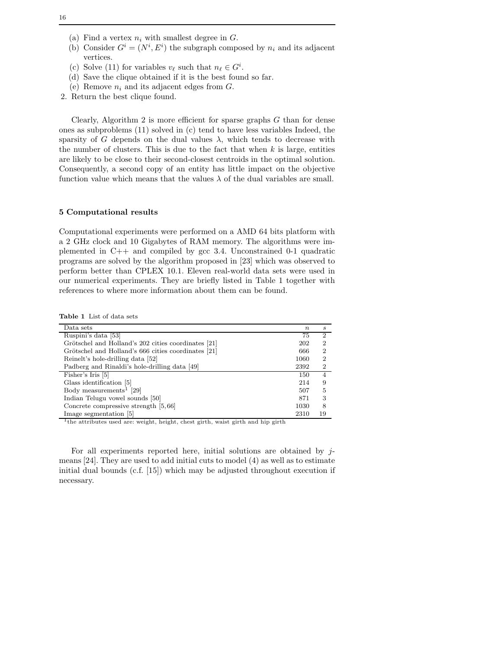- (a) Find a vertex  $n_i$  with smallest degree in  $G$ .
- (b) Consider  $G^i = (N^i, E^i)$  the subgraph composed by  $n_i$  and its adjacent vertices.
- (c) Solve (11) for variables  $v_{\ell}$  such that  $n_{\ell} \in G^{i}$ .
- (d) Save the clique obtained if it is the best found so far.
- (e) Remove  $n_i$  and its adjacent edges from  $G$ .
- 2. Return the best clique found.

Clearly, Algorithm 2 is more efficient for sparse graphs  $G$  than for dense ones as subproblems (11) solved in (c) tend to have less variables Indeed, the sparsity of G depends on the dual values  $\lambda$ , which tends to decrease with the number of clusters. This is due to the fact that when  $k$  is large, entities are likely to be close to their second-closest centroids in the optimal solution. Consequently, a second copy of an entity has little impact on the objective function value which means that the values  $\lambda$  of the dual variables are small.

## 5 Computational results

Computational experiments were performed on a AMD 64 bits platform with a 2 GHz clock and 10 Gigabytes of RAM memory. The algorithms were implemented in C++ and compiled by gcc 3.4. Unconstrained 0-1 quadratic programs are solved by the algorithm proposed in [23] which was observed to perform better than CPLEX 10.1. Eleven real-world data sets were used in our numerical experiments. They are briefly listed in Table 1 together with references to where more information about them can be found.

Table 1 List of data sets

| Data sets                                           | $\boldsymbol{n}$ | S  |
|-----------------------------------------------------|------------------|----|
| Ruspini's data [53]                                 | 75               | 2  |
| Grötschel and Holland's 202 cities coordinates [21] | 202              | 2  |
| Grötschel and Holland's 666 cities coordinates [21] | 666              | 2  |
| Reinelt's hole-drilling data [52]                   | 1060             | 2  |
| Padberg and Rinaldi's hole-drilling data [49]       | 2392             | 2  |
| Fisher's Iris [5]                                   | 150              |    |
| Glass identification [5]                            | 214              | 9  |
| Body measurements <sup>1</sup> [29]                 | 507              | 5  |
| Indian Telugu vowel sounds [50]                     | 871              | 3  |
| Concrete compressive strength [5,66]                | 1030             | 8  |
| Image segmentation [5]                              | 2310             | 19 |

<sup>1</sup>the attributes used are: weight, height, chest girth, waist girth and hip girth

For all experiments reported here, initial solutions are obtained by  $j$ means [24]. They are used to add initial cuts to model (4) as well as to estimate initial dual bounds (c.f. [15]) which may be adjusted throughout execution if necessary.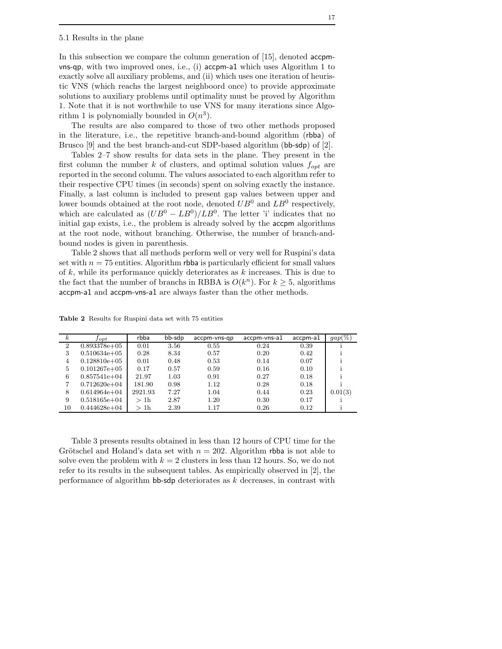#### 5.1 Results in the plane

In this subsection we compare the column generation of [15], denoted accpmvns-qp, with two improved ones, i.e., (i) accpm-a1 which uses Algorithm 1 to exactly solve all auxiliary problems, and (ii) which uses one iteration of heuristic VNS (which reachs the largest neighboord once) to provide approximate solutions to auxiliary problems until optimality must be proved by Algorithm 1. Note that it is not worthwhile to use VNS for many iterations since Algorithm 1 is polynomially bounded in  $O(n^3)$ .

The results are also compared to those of two other methods proposed in the literature, i.e., the repetitive branch-and-bound algorithm (rbba) of Brusco [9] and the best branch-and-cut SDP-based algorithm (bb-sdp) of [2].

Tables 2–7 show results for data sets in the plane. They present in the first column the number k of clusters, and optimal solution values  $f_{opt}$  are reported in the second column. The values associated to each algorithm refer to their respective CPU times (in seconds) spent on solving exactly the instance. Finally, a last column is included to present gap values between upper and lower bounds obtained at the root node, denoted  $UB^0$  and  $LB^0$  respectively, which are calculated as  $(UB^0 - LB^0)/LB^0$ . The letter 'i' indicates that no initial gap exists, i.e., the problem is already solved by the accpm algorithms at the root node, without branching. Otherwise, the number of branch-andbound nodes is given in parenthesis.

Table 2 shows that all methods perform well or very well for Ruspini's data set with  $n = 75$  entities. Algorithm rbba is particularly efficient for small values of  $k$ , while its performance quickly deteriorates as  $k$  increases. This is due to the fact that the number of branchs in RBBA is  $O(k^n)$ . For  $k \geq 5$ , algorithms accpm-a1 and accpm-vns-a1 are always faster than the other methods.

Table 2 Results for Ruspini data set with 75 entities

| $\kappa$       | $_{fopt}$        | rbba            | bb-sdp | accpm-yns-gp | accom-vns-al | accom-a1 | $gap(\%)$ |
|----------------|------------------|-----------------|--------|--------------|--------------|----------|-----------|
| $\overline{2}$ | $0.893378e + 05$ | 0.01            | 3.56   | 0.55         | 0.24         | 0.39     |           |
| 3              | $0.510634e+05$   | 0.28            | 8.34   | 0.57         | 0.20         | 0.42     |           |
| 4              | $0.128810e+05$   | 0.01            | 0.48   | 0.53         | 0.14         | 0.07     |           |
| 5              | $0.101267e+05$   | 0.17            | 0.57   | 0.59         | 0.16         | 0.10     |           |
| 6              | $0.857541e+04$   | 21.97           | 1.03   | 0.91         | 0.27         | 0.18     |           |
| 7              | $0.712620e + 04$ | 181.90          | 0.98   | 1.12         | 0.28         | 0.18     |           |
| 8              | $0.614964e+04$   | 2921.93         | 7.27   | 1.04         | 0.44         | 0.23     | 0.01(3)   |
| 9              | $0.518165e+04$   | >1 <sub>h</sub> | 2.87   | 1.20         | 0.30         | 0.17     |           |
| 10             | $0.444628e + 04$ | >1h             | 2.39   | 1.17         | 0.26         | 0.12     |           |

Table 3 presents results obtained in less than 12 hours of CPU time for the Grötschel and Holand's data set with  $n = 202$ . Algorithm rbba is not able to solve even the problem with  $k = 2$  clusters in less than 12 hours. So, we do not refer to its results in the subsequent tables. As empirically observed in [2], the performance of algorithm bb-sdp deteriorates as  $k$  decreases, in contrast with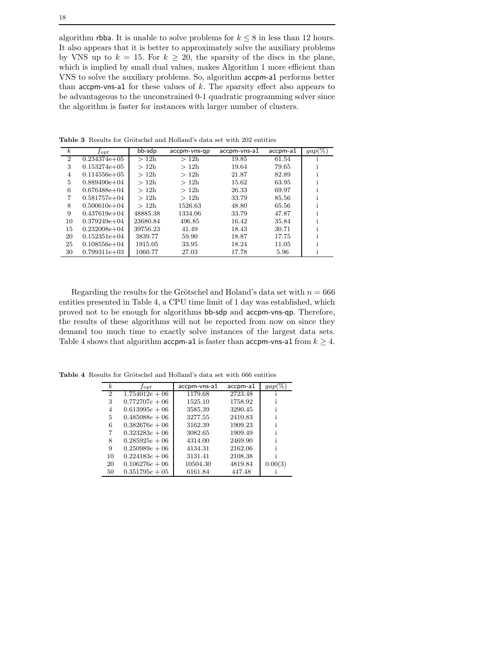algorithm rbba. It is unable to solve problems for  $k \leq 8$  in less than 12 hours. It also appears that it is better to approximately solve the auxiliary problems by VNS up to  $k = 15$ . For  $k \geq 20$ , the sparsity of the discs in the plane, which is implied by small dual values, makes Algorithm 1 more efficient than VNS to solve the auxiliary problems. So, algorithm accpm-a1 performs better than  $acp$ m-vns-a1 for these values of  $k$ . The sparsity effect also appears to be advantageous to the unconstrained 0-1 quadratic programming solver since the algorithm is faster for instances with larger number of clusters.

| $\boldsymbol{k}$ | $J_{opt}$        | bb-sdp   | accpm-vns-qp | accpm-vns-a1 | accpm-a1 | $gap(\%)$ |
|------------------|------------------|----------|--------------|--------------|----------|-----------|
| $\overline{2}$   | $0.234374e+05$   | >12h     | >12h         | 19.85        | 61.54    |           |
| 3                | $0.153274e+05$   | >12h     | >12h         | 19.64        | 79.65    |           |
| 4                | $0.114556e + 05$ | >12h     | >12h         | 21.87        | 82.89    |           |
| 5                | $0.889490e+04$   | >12h     | >12h         | 15.62        | 63.95    |           |
| 6                | $0.676488e + 04$ | >12h     | >12h         | 26.33        | 69.97    |           |
| 7                | $0.581757e+04$   | >12h     | >12h         | 33.79        | 85.56    |           |
| 8                | $0.500610e + 04$ | >12h     | 1526.63      | 48.80        | 65.56    |           |
| 9                | $0.437619e + 04$ | 48885.38 | 1334.06      | 33.79        | 47.87    |           |
| 10               | $0.379249e + 04$ | 23680.84 | 496.85       | 16.42        | 35.84    |           |
| 15               | $0.232008e + 04$ | 39756.23 | 41.49        | 18.43        | 30.71    |           |
| 20               | $0.152351e+04$   | 3839.77  | 59.90        | 18.87        | 17.75    |           |
| 25               | $0.108556e + 04$ | 1915.05  | 33.95        | 18.24        | 11.05    |           |
| 30               | $0.799311e+03$   | 1060.77  | 27.03        | 17.78        | 5.96     |           |

Table 3 Results for Grötschel and Holland's data set with 202 entities

Regarding the results for the Grötschel and Holand's data set with  $n = 666$ entities presented in Table 4, a CPU time limit of 1 day was established, which proved not to be enough for algorithms bb-sdp and accpm-vns-qp. Therefore, the results of these algorithms will not be reported from now on since they demand too much time to exactly solve instances of the largest data sets. Table 4 shows that algorithm accpm-a1 is faster than accpm-vns-a1 from  $k \geq 4$ .

Table 4 Results for Grötschel and Holland's data set with 666 entities

| $\boldsymbol{k}$            | $_{Jopt}$        | accpm-vns-a1 | accpm-a1 | qap(    |
|-----------------------------|------------------|--------------|----------|---------|
| $\mathcal{D}_{\mathcal{L}}$ | $1.754012e + 06$ | 1179.68      | 2723.48  |         |
| 3                           | $0.772707e + 06$ | 1525.10      | 1758.92  |         |
| $\overline{4}$              | $0.613995e + 06$ | 3585.39      | 3290.45  |         |
| 5                           | $0.485088e + 06$ | 3277.55      | 2410.83  |         |
| 6                           | $0.382676e + 06$ | 3162.39      | 1909.23  |         |
| 7                           | $0.323283e + 06$ | 3082.65      | 1909.49  |         |
| 8                           | $0.285925e + 06$ | 4314.00      | 2469.90  |         |
| 9                           | $0.250989e + 06$ | 4134.31      | 2162.06  |         |
| 10                          | $0.224183e + 06$ | 3131.41      | 2108.38  |         |
| 20                          | $0.106276e + 06$ | 10504.30     | 4819.84  | 0.00(3) |
| 50                          | $0.351795e + 05$ | 6161.84      | 447.48   |         |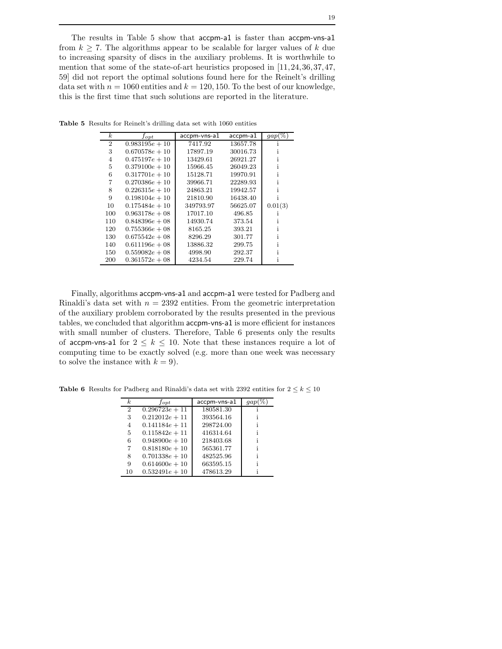The results in Table 5 show that accpm-a1 is faster than accpm-vns-a1 from  $k \geq 7$ . The algorithms appear to be scalable for larger values of k due to increasing sparsity of discs in the auxiliary problems. It is worthwhile to mention that some of the state-of-art heuristics proposed in  $[11, 24, 36, 37, 47,$ 59] did not report the optimal solutions found here for the Reinelt's drilling data set with  $n = 1060$  entities and  $k = 120, 150$ . To the best of our knowledge, this is the first time that such solutions are reported in the literature.

| $\boldsymbol{k}$ | $_{fopt}$        | accpm-vns-a1 | accpm-a1 | $gap(\%)$ |
|------------------|------------------|--------------|----------|-----------|
| $\overline{2}$   | $0.983195e + 10$ | 7417.92      | 13657.78 |           |
| 3                | $0.670578e + 10$ | 17897.19     | 30016.73 |           |
| $\overline{4}$   | $0.475197e + 10$ | 13429.61     | 26921.27 |           |
| 5                | $0.379100e + 10$ | 15966.45     | 26049.23 |           |
| 6                | $0.317701e + 10$ | 15128.71     | 19970.91 |           |
| 7                | $0.270386e + 10$ | 39966.71     | 22289.93 |           |
| 8                | $0.226315e + 10$ | 24863.21     | 19942.57 |           |
| 9                | $0.198104e + 10$ | 21810.90     | 16438.40 |           |
| 10               | $0.175484e + 10$ | 349793.97    | 56625.07 | 0.01(3)   |
| 100              | $0.963178e + 08$ | 17017.10     | 496.85   |           |
| 110              | $0.848396e + 08$ | 14930.74     | 373.54   |           |
| 120              | $0.755366e + 08$ | 8165.25      | 393.21   |           |
| 130              | $0.675542e + 08$ | 8296.29      | 301.77   |           |
| 140              | $0.611196e + 08$ | 13886.32     | 299.75   |           |
| 150              | $0.559082e + 08$ | 4998.90      | 292.37   |           |
| 200              | $0.361572e + 08$ | 4234.54      | 229.74   |           |

Table 5 Results for Reinelt's drilling data set with 1060 entities

Finally, algorithms accpm-vns-a1 and accpm-a1 were tested for Padberg and Rinaldi's data set with  $n = 2392$  entities. From the geometric interpretation of the auxiliary problem corroborated by the results presented in the previous tables, we concluded that algorithm accpm-vns-a1 is more efficient for instances with small number of clusters. Therefore, Table 6 presents only the results of accpm-vns-a1 for  $2 \leq k \leq 10$ . Note that these instances require a lot of computing time to be exactly solved (e.g. more than one week was necessary to solve the instance with  $k = 9$ ).

| $\boldsymbol{k}$ | $_{fopt}$        | accpm-vns-a1 |  |
|------------------|------------------|--------------|--|
| 2                | $0.296723e + 11$ | 180581.30    |  |
| 3                | $0.212012e + 11$ | 393564.16    |  |
| 4                | $0.141184e + 11$ | 298724.00    |  |
| 5                | $0.115842e + 11$ | 416314.64    |  |
| 6                | $0.948900e + 10$ | 218403.68    |  |
| 7                | $0.818180e + 10$ | 565361.77    |  |
| 8                | $0.701338e + 10$ | 482525.96    |  |
| 9                | $0.614600e + 10$ | 663595.15    |  |
| 10               | $0.532491e + 10$ | 478613.29    |  |

Table 6 Results for Padberg and Rinaldi's data set with 2392 entities for  $2 \leq k \leq 10$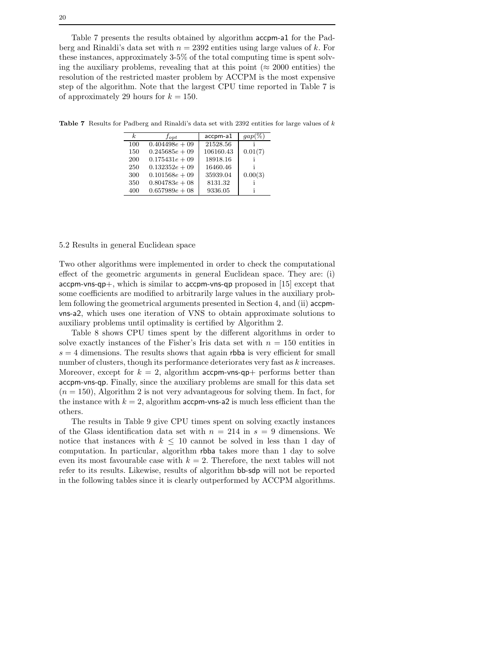Table 7 presents the results obtained by algorithm accpm-a1 for the Padberg and Rinaldi's data set with  $n = 2392$  entities using large values of k. For these instances, approximately 3-5% of the total computing time is spent solving the auxiliary problems, revealing that at this point ( $\approx 2000$  entities) the resolution of the restricted master problem by ACCPM is the most expensive step of the algorithm. Note that the largest CPU time reported in Table 7 is of approximately 29 hours for  $k = 150$ .

Table 7 Results for Padberg and Rinaldi's data set with 2392 entities for large values of k

| k.  | $_{fopt}$        | accpm-a1  | qap     |
|-----|------------------|-----------|---------|
| 100 | $0.404498e + 09$ | 21528.56  |         |
| 150 | $0.245685e + 09$ | 106160.43 | 0.01(7) |
| 200 | $0.175431e + 09$ | 18918.16  |         |
| 250 | $0.132352e + 09$ | 16460.46  |         |
| 300 | $0.101568e + 09$ | 35939.04  | 0.00(3) |
| 350 | $0.804783e + 08$ | 8131.32   |         |
| 400 | $0.657989e + 08$ | 9336.05   |         |

5.2 Results in general Euclidean space

Two other algorithms were implemented in order to check the computational effect of the geometric arguments in general Euclidean space. They are: (i)  $accpm-vns-qp+$ , which is similar to  $accpm-vns-qp$  proposed in [15] except that some coefficients are modified to arbitrarily large values in the auxiliary problem following the geometrical arguments presented in Section 4, and (ii) accpmvns-a2, which uses one iteration of VNS to obtain approximate solutions to auxiliary problems until optimality is certified by Algorithm 2.

Table 8 shows CPU times spent by the different algorithms in order to solve exactly instances of the Fisher's Iris data set with  $n = 150$  entities in  $s = 4$  dimensions. The results shows that again rbba is very efficient for small number of clusters, though its performance deteriorates very fast as k increases. Moreover, except for  $k = 2$ , algorithm accpm-vns-qp+ performs better than accpm-vns-qp. Finally, since the auxiliary problems are small for this data set  $(n = 150)$ , Algorithm 2 is not very advantageous for solving them. In fact, for the instance with  $k = 2$ , algorithm accpm-vns-a2 is much less efficient than the others.

The results in Table 9 give CPU times spent on solving exactly instances of the Glass identification data set with  $n = 214$  in  $s = 9$  dimensions. We notice that instances with  $k \leq 10$  cannot be solved in less than 1 day of computation. In particular, algorithm rbba takes more than 1 day to solve even its most favourable case with  $k = 2$ . Therefore, the next tables will not refer to its results. Likewise, results of algorithm bb-sdp will not be reported in the following tables since it is clearly outperformed by ACCPM algorithms.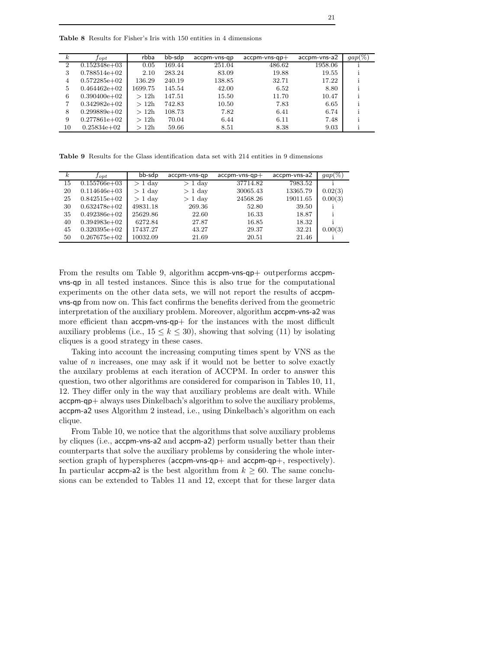Table 8 Results for Fisher's Iris with 150 entities in 4 dimensions

| $\kappa$       | Jopt             | rbba    | bb-sdp | accpm-vns-gp | $accpm$ -vns-qp $+$ | accpm-vns-a2 | $gap(\%)$ |
|----------------|------------------|---------|--------|--------------|---------------------|--------------|-----------|
| $\overline{2}$ | $0.152348e+03$   | 0.05    | 169.44 | 251.04       | 486.62              | 1958.06      |           |
| 3              | $0.788514e+02$   | 2.10    | 283.24 | 83.09        | 19.88               | 19.55        |           |
| 4              | $0.572285e+02$   | 136.29  | 240.19 | 138.85       | 32.71               | 17.22        |           |
| 5              | $0.464462e+02$   | 1699.75 | 145.54 | 42.00        | 6.52                | 8.80         |           |
| 6              | $0.390400e + 02$ | >12h    | 147.51 | 15.50        | 11.70               | 10.47        |           |
| 7              | $0.342982e+02$   | >12h    | 742.83 | 10.50        | 7.83                | 6.65         |           |
| 8              | $0.299889e+02$   | >12h    | 108.73 | 7.82         | 6.41                | 6.74         |           |
| 9              | $0.277861e+02$   | >12h    | 70.04  | 6.44         | 6.11                | 7.48         |           |
| 10             | $0.25834e+02$    | >12h    | 59.66  | 8.51         | 8.38                | 9.03         |           |

Table 9 Results for the Glass identification data set with 214 entities in 9 dimensions

| $\kappa$ | $_{Jopt}$        | bb-sdp    | accpm-vns-qp | $accpm$ -vns-qp $+$ | accpm-vns-a2 | $gap(\%)$ |
|----------|------------------|-----------|--------------|---------------------|--------------|-----------|
| 15       | $0.155766e + 03$ | $> 1$ day | $>1$ day     | 37714.82            | 7983.52      |           |
| 20       | $0.114646e + 03$ | $> 1$ day | $> 1$ day    | 30065.43            | 13365.79     | 0.02(3)   |
| 25       | $0.842515e+02$   | $> 1$ day | $> 1$ day    | 24568.26            | 19011.65     | 0.00(3)   |
| 30       | $0.632478e+02$   | 49831.18  | 269.36       | 52.80               | 39.50        |           |
| 35       | $0.492386e + 02$ | 25629.86  | 22.60        | 16.33               | 18.87        |           |
| 40       | $0.394983e+02$   | 6272.84   | 27.87        | 16.85               | 18.32        |           |
| 45       | $0.320395e+02$   | 17437.27  | 43.27        | 29.37               | 32.21        | 0.00(3)   |
| 50       | $0.267675e+02$   | 10032.09  | 21.69        | 20.51               | 21.46        |           |

From the results om Table 9, algorithm accpm-vns-qp+ outperforms accpmvns-qp in all tested instances. Since this is also true for the computational experiments on the other data sets, we will not report the results of accpmvns-qp from now on. This fact confirms the benefits derived from the geometric interpretation of the auxiliary problem. Moreover, algorithm accpm-vns-a2 was more efficient than accpm-vns-qp+ for the instances with the most difficult auxiliary problems (i.e.,  $15 \leq k \leq 30$ ), showing that solving (11) by isolating cliques is a good strategy in these cases.

Taking into account the increasing computing times spent by VNS as the value of  $n$  increases, one may ask if it would not be better to solve exactly the auxilary problems at each iteration of ACCPM. In order to answer this question, two other algorithms are considered for comparison in Tables 10, 11, 12. They differ only in the way that auxiliary problems are dealt with. While accpm-qp+ always uses Dinkelbach's algorithm to solve the auxiliary problems, accpm-a2 uses Algorithm 2 instead, i.e., using Dinkelbach's algorithm on each clique.

From Table 10, we notice that the algorithms that solve auxiliary problems by cliques (i.e., accpm-vns-a2 and accpm-a2) perform usually better than their counterparts that solve the auxiliary problems by considering the whole intersection graph of hyperspheres (accpm-vns-qp+ and accpm-qp+, respectively). In particular accpm-a2 is the best algorithm from  $k \geq 60$ . The same conclusions can be extended to Tables 11 and 12, except that for these larger data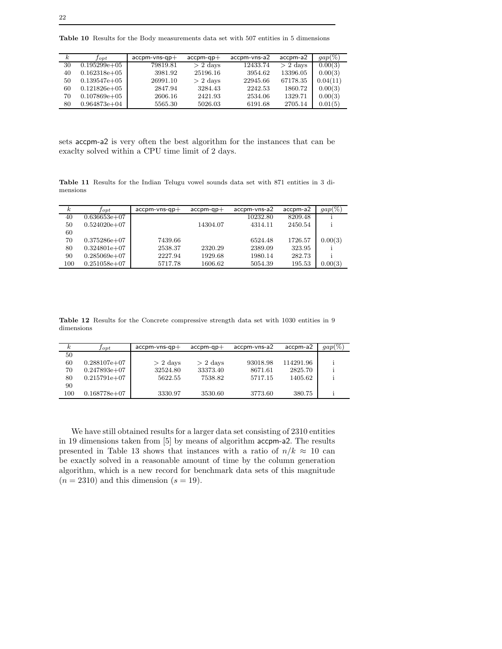Table 10 Results for the Body measurements data set with 507 entities in 5 dimensions

| k. | $_{Jopt}$        | $accpm-vns-qp+$ | $accpm-qp+$ | accpm-vns-a2 | accpm-a2   | $gap(\%)$ |
|----|------------------|-----------------|-------------|--------------|------------|-----------|
| 30 | $0.195299e+05$   | 79819.81        | $> 2$ days  | 12433.74     | $> 2$ days | 0.00(3)   |
| 40 | $0.162318e + 05$ | 3981.92         | 25196.16    | 3954.62      | 13396.05   | 0.00(3)   |
| 50 | $0.139547e+05$   | 26991.10        | $> 2$ days  | 22945.66     | 67178.35   | 0.04(11)  |
| 60 | $0.121826e+05$   | 2847.94         | 3284.43     | 2242.53      | 1860.72    | 0.00(3)   |
| 70 | $0.107869e + 05$ | 2606.16         | 2421.93     | 2534.06      | 1329.71    | 0.00(3)   |
| 80 | $0.964873e+04$   | 5565.30         | 5026.03     | 6191.68      | 2705.14    | 0.01(5)   |

sets accpm-a2 is very often the best algorithm for the instances that can be exaclty solved within a CPU time limit of 2 days.

Table 11 Results for the Indian Telugu vowel sounds data set with 871 entities in 3 dimensions

| $\kappa$ | $_{J \, opt}$   | $accpm-vns-qp+$ | $accpm-qp+$ | accpm-vns-a2 | accpm-a2 | $gap(\%)$ |
|----------|-----------------|-----------------|-------------|--------------|----------|-----------|
| 40       | $0.636653e+07$  |                 |             | 10232.80     | 8209.48  |           |
| 50       | $0.524020e+07$  |                 | 14304.07    | 4314.11      | 2450.54  |           |
| 60       |                 |                 |             |              |          |           |
| 70       | $0.375286 + 07$ | 7439.66         |             | 6524.48      | 1726.57  | 0.00(3)   |
| 80       | $0.324801e+07$  | 2538.37         | 2320.29     | 2389.09      | 323.95   |           |
| 90       | $0.285069e+07$  | 2227.94         | 1929.68     | 1980.14      | 282.73   |           |
| 100      | $0.251058e+07$  | 5717.78         | 1606.62     | 5054.39      | 195.53   | 0.00(3)   |

Table 12 Results for the Concrete compressive strength data set with 1030 entities in 9 dimensions

| $_{k}$ | $J$ opt        | $accpm-vns-qp+$ | $accpm-qp+$ | accom-vns-a2 | accpm-a2  | $gap(\%)$ |
|--------|----------------|-----------------|-------------|--------------|-----------|-----------|
| 50     |                |                 |             |              |           |           |
| 60     | $0.288107e+07$ | $> 2$ days      | $> 2$ days  | 93018.98     | 114291.96 |           |
| 70     | $0.247893e+07$ | 32524.80        | 33373.40    | 8671.61      | 2825.70   |           |
| 80     | $0.215791e+07$ | 5622.55         | 7538.82     | 5717.15      | 1405.62   |           |
| 90     |                |                 |             |              |           |           |
| 100    | $0.168778e+07$ | 3330.97         | 3530.60     | 3773.60      | 380.75    |           |

We have still obtained results for a larger data set consisting of 2310 entities in 19 dimensions taken from [5] by means of algorithm accpm-a2. The results presented in Table 13 shows that instances with a ratio of  $n/k \approx 10$  can be exactly solved in a reasonable amount of time by the column generation algorithm, which is a new record for benchmark data sets of this magnitude  $(n = 2310)$  and this dimension  $(s = 19)$ .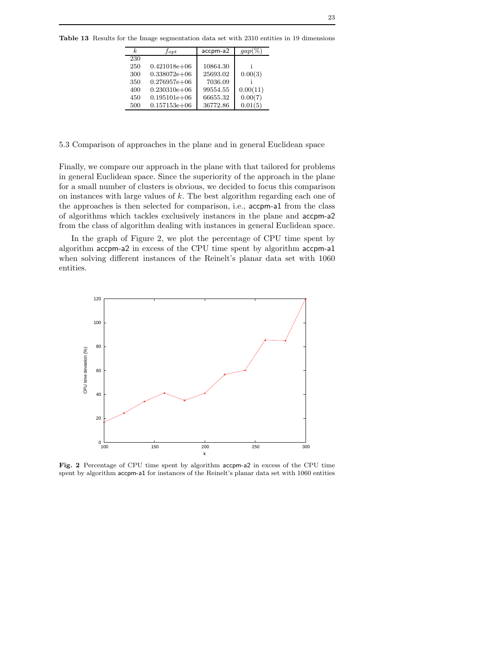|  |  |  |  | <b>Table 13</b> Results for the Image segmentation data set with 2310 entities in 19 dimensions |  |  |  |  |  |  |  |
|--|--|--|--|-------------------------------------------------------------------------------------------------|--|--|--|--|--|--|--|
|--|--|--|--|-------------------------------------------------------------------------------------------------|--|--|--|--|--|--|--|

| accpm-a2<br>k<br>$_{fopt}$          | gap      |
|-------------------------------------|----------|
| 230                                 |          |
| $0.421018e + 06$<br>10864.30<br>250 |          |
| 25693.02<br>$0.338072e+06$<br>300   | 0.00(3)  |
| $0.276957e+06$<br>7036.09<br>350    |          |
| $0.230310e + 06$<br>99554.55<br>400 | 0.00(11) |
| $0.195101e + 06$<br>66655.32<br>450 | 0.00(7)  |
| 36772.86<br>$0.157153e+06$<br>500   | 0.01(5)  |

5.3 Comparison of approaches in the plane and in general Euclidean space

Finally, we compare our approach in the plane with that tailored for problems in general Euclidean space. Since the superiority of the approach in the plane for a small number of clusters is obvious, we decided to focus this comparison on instances with large values of k. The best algorithm regarding each one of the approaches is then selected for comparison, i.e., accpm-a1 from the class of algorithms which tackles exclusively instances in the plane and accpm-a2 from the class of algorithm dealing with instances in general Euclidean space.

In the graph of Figure 2, we plot the percentage of CPU time spent by algorithm accpm-a2 in excess of the CPU time spent by algorithm accpm-a1 when solving different instances of the Reinelt's planar data set with 1060 entities.



Fig. 2 Percentage of CPU time spent by algorithm accpm-a2 in excess of the CPU time spent by algorithm accpm-a1 for instances of the Reinelt's planar data set with 1060 entities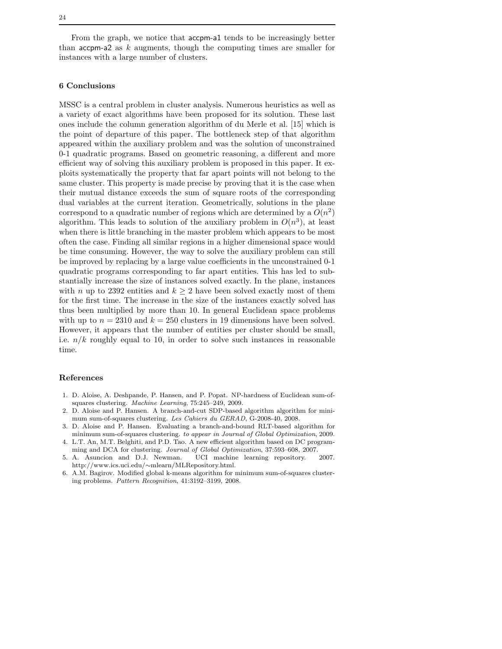From the graph, we notice that accpm-a1 tends to be increasingly better than  $acpm-2$  as k augments, though the computing times are smaller for instances with a large number of clusters.

# 6 Conclusions

MSSC is a central problem in cluster analysis. Numerous heuristics as well as a variety of exact algorithms have been proposed for its solution. These last ones include the column generation algorithm of du Merle et al. [15] which is the point of departure of this paper. The bottleneck step of that algorithm appeared within the auxiliary problem and was the solution of unconstrained 0-1 quadratic programs. Based on geometric reasoning, a different and more efficient way of solving this auxiliary problem is proposed in this paper. It exploits systematically the property that far apart points will not belong to the same cluster. This property is made precise by proving that it is the case when their mutual distance exceeds the sum of square roots of the corresponding dual variables at the current iteration. Geometrically, solutions in the plane correspond to a quadratic number of regions which are determined by a  $O(n^2)$ algorithm. This leads to solution of the auxiliary problem in  $O(n^3)$ , at least when there is little branching in the master problem which appears to be most often the case. Finding all similar regions in a higher dimensional space would be time consuming. However, the way to solve the auxiliary problem can still be improved by replacing by a large value coefficients in the unconstrained 0-1 quadratic programs corresponding to far apart entities. This has led to substantially increase the size of instances solved exactly. In the plane, instances with *n* up to 2392 entities and  $k \geq 2$  have been solved exactly most of them for the first time. The increase in the size of the instances exactly solved has thus been multiplied by more than 10. In general Euclidean space problems with up to  $n = 2310$  and  $k = 250$  clusters in 19 dimensions have been solved. However, it appears that the number of entities per cluster should be small, i.e.  $n/k$  roughly equal to 10, in order to solve such instances in reasonable time.

#### References

- 1. D. Aloise, A. Deshpande, P. Hansen, and P. Popat. NP-hardness of Euclidean sum-ofsquares clustering. Machine Learning, 75:245–249, 2009.
- 2. D. Aloise and P. Hansen. A branch-and-cut SDP-based algorithm algorithm for minimum sum-of-squares clustering. Les Cahiers du GERAD, G-2008-40, 2008.
- 3. D. Aloise and P. Hansen. Evaluating a branch-and-bound RLT-based algorithm for minimum sum-of-squares clustering. to appear in Journal of Global Optimization, 2009. 4. L.T. An, M.T. Belghiti, and P.D. Tao. A new efficient algorithm based on DC program-
- ming and DCA for clustering. Journal of Global Optimization, 37:593–608, 2007.
- 5. A. Asuncion and D.J. Newman. UCI machine learning repository. 2007. http://www.ics.uci.edu/∼mlearn/MLRepository.html.
- 6. A.M. Bagirov. Modified global k-means algorithm for minimum sum-of-squares clustering problems. Pattern Recognition, 41:3192–3199, 2008.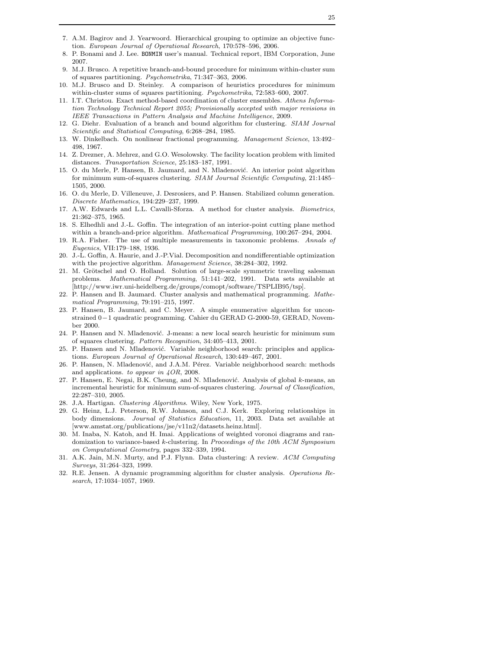- 7. A.M. Bagirov and J. Yearwoord. Hierarchical grouping to optimize an objective function. European Journal of Operational Research, 170:578–596, 2006.
- 8. P. Bonami and J. Lee. BONMIN user's manual. Technical report, IBM Corporation, June 2007.
- 9. M.J. Brusco. A repetitive branch-and-bound procedure for minimum within-cluster sum of squares partitioning. Psychometrika, 71:347–363, 2006.
- 10. M.J. Brusco and D. Steinley. A comparison of heuristics procedures for minimum within-cluster sums of squares partitioning. Psychometrika, 72:583–600, 2007.
- 11. I.T. Christou. Exact method-based coordination of cluster ensembles. Athens Information Technology Technical Report 2055; Provisionally accepted with major revisions in IEEE Transactions in Pattern Analysis and Machine Intelligence, 2009.
- 12. G. Diehr. Evaluation of a branch and bound algorithm for clustering. SIAM Journal Scientific and Statistical Computing, 6:268–284, 1985.
- 13. W. Dinkelbach. On nonlinear fractional programming. Management Science, 13:492– 498, 1967.
- 14. Z. Drezner, A. Mehrez, and G.O. Wesolowsky. The facility location problem with limited distances. Transportation Science, 25:183–187, 1991.
- 15. O. du Merle, P. Hansen, B. Jaumard, and N. Mladenović. An interior point algorithm for minimum sum-of-squares clustering. SIAM Journal Scientific Computing, 21:1485– 1505, 2000.
- 16. O. du Merle, D. Villeneuve, J. Desrosiers, and P. Hansen. Stabilized column generation. Discrete Mathematics, 194:229–237, 1999.
- 17. A.W. Edwards and L.L. Cavalli-Sforza. A method for cluster analysis. Biometrics, 21:362–375, 1965.
- 18. S. Elhedhli and J.-L. Goffin. The integration of an interior-point cutting plane method within a branch-and-price algorithm. Mathematical Programming, 100:267–294, 2004.
- 19. R.A. Fisher. The use of multiple measurements in taxonomic problems. Annals of Eugenics, VII:179–188, 1936.
- 20. J.-L. Goffin, A. Haurie, and J.-P.Vial. Decomposition and nondifferentiable optimization with the projective algorithm. *Management Science*, 38:284–302, 1992.
- 21. M. Grötschel and O. Holland. Solution of large-scale symmetric traveling salesman problems. Mathematical Programming, 51:141–202, 1991. Data sets available at [http://www.iwr.uni-heidelberg.de/groups/comopt/software/TSPLIB95/tsp].
- 22. P. Hansen and B. Jaumard. Cluster analysis and mathematical programming. Mathematical Programming, 79:191–215, 1997.
- 23. P. Hansen, B. Jaumard, and C. Meyer. A simple enumerative algorithm for unconstrained 0−1 quadratic programming. Cahier du GERAD G-2000-59, GERAD, November 2000.
- 24. P. Hansen and N. Mladenović. J-means: a new local search heuristic for minimum sum of squares clustering. Pattern Recognition, 34:405–413, 2001.
- 25. P. Hansen and N. Mladenović. Variable neighborhood search: principles and applications. European Journal of Operational Research, 130:449–467, 2001.
- 26. P. Hansen, N. Mladenović, and J.A.M. Pérez. Variable neighborhood search: methods and applications. to appear in 4OR, 2008.
- 27. P. Hansen, E. Negai, B.K. Cheung, and N. Mladenović. Analysis of global k-means, an incremental heuristic for minimum sum-of-squares clustering. Journal of Classification, 22:287–310, 2005.
- 28. J.A. Hartigan. Clustering Algorithms. Wiley, New York, 1975.
- 29. G. Heinz, L.J. Peterson, R.W. Johnson, and C.J. Kerk. Exploring relationships in body dimensions. Journal of Statistics Education, 11, 2003. Data set available at [www.amstat.org/publications/jse/v11n2/datasets.heinz.html].
- 30. M. Inaba, N. Katoh, and H. Imai. Applications of weighted voronoi diagrams and randomization to variance-based k-clustering. In Proceedings of the 10th ACM Symposium on Computational Geometry, pages 332–339, 1994.
- 31. A.K. Jain, M.N. Murty, and P.J. Flynn. Data clustering: A review. ACM Computing Surveys, 31:264–323, 1999.
- 32. R.E. Jensen. A dynamic programming algorithm for cluster analysis. Operations Research, 17:1034–1057, 1969.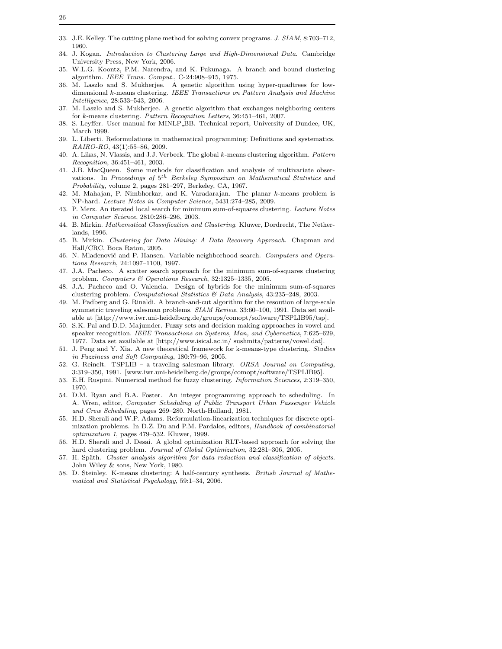- 33. J.E. Kelley. The cutting plane method for solving convex programs. J. SIAM, 8:703–712, 1960.
- 34. J. Kogan. Introduction to Clustering Large and High-Dimensional Data. Cambridge University Press, New York, 2006.
- 35. W.L.G. Koontz, P.M. Narendra, and K. Fukunaga. A branch and bound clustering algorithm. IEEE Trans. Comput., C-24:908–915, 1975.
- 36. M. Laszlo and S. Mukherjee. A genetic algorithm using hyper-quadtrees for lowdimensional k-means clustering. IEEE Transactions on Pattern Analysis and Machine Intelligence, 28:533–543, 2006.
- 37. M. Laszlo and S. Mukherjee. A genetic algorithm that exchanges neighboring centers for k-means clustering. Pattern Recognition Letters, 36:451–461, 2007.
- 38. S. Leyffer. User manual for MINLP BB. Technical report, University of Dundee, UK, March 1999.
- 39. L. Liberti. Reformulations in mathematical programming: Definitions and systematics. RAIRO-RO, 43(1):55–86, 2009.
- 40. A. Likas, N. Vlassis, and J.J. Verbeek. The global k-means clustering algorithm. Pattern Recognition, 36:451–461, 2003.
- 41. J.B. MacQueen. Some methods for classification and analysis of multivariate observations. In Proceedings of  $5^{th}$  Berkeley Symposium on Mathematical Statistics and Probability, volume 2, pages 281–297, Berkeley, CA, 1967.
- 42. M. Mahajan, P. Nimbhorkar, and K. Varadarajan. The planar k-means problem is NP-hard. Lecture Notes in Computer Science, 5431:274–285, 2009.
- 43. P. Merz. An iterated local search for minimum sum-of-squares clustering. Lecture Notes in Computer Science, 2810:286–296, 2003.
- 44. B. Mirkin. Mathematical Classification and Clustering. Kluwer, Dordrecht, The Netherlands, 1996.
- 45. B. Mirkin. Clustering for Data Mining: A Data Recovery Approach. Chapman and Hall/CRC, Boca Raton, 2005.
- 46. N. Mladenović and P. Hansen. Variable neighborhood search. Computers and Operations Research, 24:1097–1100, 1997.
- 47. J.A. Pacheco. A scatter search approach for the minimum sum-of-squares clustering problem. Computers & Operations Research, 32:1325–1335, 2005.
- 48. J.A. Pacheco and O. Valencia. Design of hybrids for the minimum sum-of-squares clustering problem. Computational Statistics & Data Analysis, 43:235–248, 2003.
- 49. M. Padberg and G. Rinaldi. A branch-and-cut algorithm for the resoution of large-scale symmetric traveling salesman problems. SIAM Review, 33:60–100, 1991. Data set available at [http://www.iwr.uni-heidelberg.de/groups/comopt/software/TSPLIB95/tsp].
- 50. S.K. Pal and D.D. Majumder. Fuzzy sets and decision making approaches in vowel and speaker recognition. IEEE Transactions on Systems, Man, and Cybernetics, 7:625-629, 1977. Data set available at [http://www.isical.ac.in/ sushmita/patterns/vowel.dat].
- 51. J. Peng and Y. Xia. A new theoretical framework for k-means-type clustering. Studies in Fuzziness and Soft Computing, 180:79–96, 2005.
- 52. G. Reinelt. TSPLIB a traveling salesman library. ORSA Journal on Computing, 3:319–350, 1991. [www.iwr.uni-heidelberg.de/groups/comopt/software/TSPLIB95].
- 53. E.H. Ruspini. Numerical method for fuzzy clustering. Information Sciences, 2:319–350, 1970.
- 54. D.M. Ryan and B.A. Foster. An integer programming approach to scheduling. In A. Wren, editor, Computer Scheduling of Public Transport Urban Passenger Vehicle and Crew Scheduling, pages 269–280. North-Holland, 1981.
- 55. H.D. Sherali and W.P. Adams. Reformulation-linearization techniques for discrete optimization problems. In D.Z. Du and P.M. Pardalos, editors, Handbook of combinatorial optimization 1, pages 479–532. Kluwer, 1999.
- 56. H.D. Sherali and J. Desai. A global optimization RLT-based approach for solving the hard clustering problem. Journal of Global Optimization, 32:281-306, 2005.
- 57. H. Späth. Cluster analysis algorithm for data reduction and classification of objects. John Wiley & sons, New York, 1980.
- 58. D. Steinley. K-means clustering: A half-century synthesis. British Journal of Mathematical and Statistical Psychology, 59:1–34, 2006.